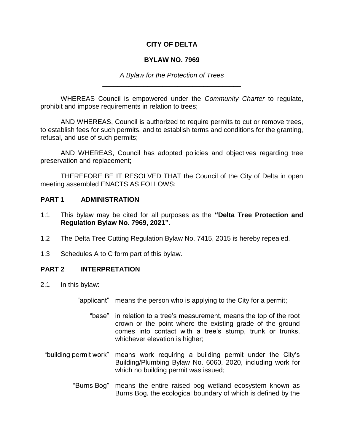## **CITY OF DELTA**

#### **BYLAW NO. 7969**

*A Bylaw for the Protection of Trees* \_\_\_\_\_\_\_\_\_\_\_\_\_\_\_\_\_\_\_\_\_\_\_\_\_\_\_\_\_\_\_\_\_\_\_\_\_

WHEREAS Council is empowered under the *Community Charter* to regulate, prohibit and impose requirements in relation to trees;

AND WHEREAS, Council is authorized to require permits to cut or remove trees, to establish fees for such permits, and to establish terms and conditions for the granting, refusal, and use of such permits;

AND WHEREAS, Council has adopted policies and objectives regarding tree preservation and replacement;

THEREFORE BE IT RESOLVED THAT the Council of the City of Delta in open meeting assembled ENACTS AS FOLLOWS:

#### **PART 1 ADMINISTRATION**

- 1.1 This bylaw may be cited for all purposes as the **"Delta Tree Protection and Regulation Bylaw No. 7969, 2021"**.
- 1.2 The Delta Tree Cutting Regulation Bylaw No. 7415, 2015 is hereby repealed.
- 1.3 Schedules A to C form part of this bylaw.

## **PART 2 INTERPRETATION**

- 2.1 In this bylaw:
	- "applicant" means the person who is applying to the City for a permit;
		- "base" in relation to a tree's measurement, means the top of the root crown or the point where the existing grade of the ground comes into contact with a tree's stump, trunk or trunks, whichever elevation is higher;
	- "building permit work" means work requiring a building permit under the City's Building/Plumbing Bylaw No. 6060, 2020, including work for which no building permit was issued;
		- "Burns Bog" means the entire raised bog wetland ecosystem known as Burns Bog, the ecological boundary of which is defined by the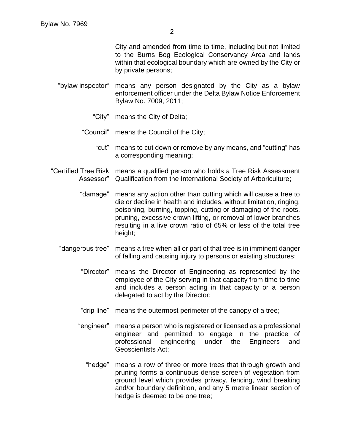City and amended from time to time, including but not limited to the Burns Bog Ecological Conservancy Area and lands within that ecological boundary which are owned by the City or by private persons;

- "bylaw inspector" means any person designated by the City as a bylaw enforcement officer under the Delta Bylaw Notice Enforcement Bylaw No. 7009, 2011;
	- "City" means the City of Delta;
	- "Council" means the Council of the City;
		- "cut" means to cut down or remove by any means, and "cutting" has a corresponding meaning;
- "Certified Tree Risk means a qualified person who holds a Tree Risk Assessment Assessor" Qualification from the International Society of Arboriculture;
	- "damage" means any action other than cutting which will cause a tree to die or decline in health and includes, without limitation, ringing, poisoning, burning, topping, cutting or damaging of the roots, pruning, excessive crown lifting, or removal of lower branches resulting in a live crown ratio of 65% or less of the total tree height;
	- "dangerous tree" means a tree when all or part of that tree is in imminent danger of falling and causing injury to persons or existing structures;
		- "Director" means the Director of Engineering as represented by the employee of the City serving in that capacity from time to time and includes a person acting in that capacity or a person delegated to act by the Director;
		- "drip line" means the outermost perimeter of the canopy of a tree;
		- "engineer" means a person who is registered or licensed as a professional engineer and permitted to engage in the practice of professional engineering under the Engineers and Geoscientists Act;
			- "hedge" means a row of three or more trees that through growth and pruning forms a continuous dense screen of vegetation from ground level which provides privacy, fencing, wind breaking and/or boundary definition, and any 5 metre linear section of hedge is deemed to be one tree;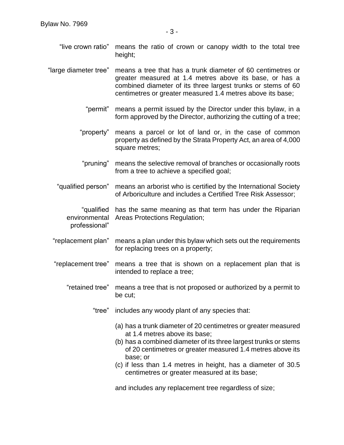"live crown ratio" means the ratio of crown or canopy width to the total tree height;

"large diameter tree" means a tree that has a trunk diameter of 60 centimetres or greater measured at 1.4 metres above its base, or has a combined diameter of its three largest trunks or stems of 60 centimetres or greater measured 1.4 metres above its base;

- "permit" means a permit issued by the Director under this bylaw, in a form approved by the Director, authorizing the cutting of a tree;
- "property" means a parcel or lot of land or, in the case of common property as defined by the Strata Property Act, an area of 4,000 square metres;
- "pruning" means the selective removal of branches or occasionally roots from a tree to achieve a specified goal;
- "qualified person" means an arborist who is certified by the International Society of Arboriculture and includes a Certified Tree Risk Assessor;

"qualified has the same meaning as that term has under the Riparian environmental Areas Protections Regulation; professional"

- "replacement plan" means a plan under this bylaw which sets out the requirements for replacing trees on a property;
- "replacement tree" means a tree that is shown on a replacement plan that is intended to replace a tree;
	- "retained tree" means a tree that is not proposed or authorized by a permit to be cut;

"tree" includes any woody plant of any species that:

- (a) has a trunk diameter of 20 centimetres or greater measured at 1.4 metres above its base;
- (b) has a combined diameter of its three largest trunks or stems of 20 centimetres or greater measured 1.4 metres above its base; or
- (c) if less than 1.4 metres in height, has a diameter of 30.5 centimetres or greater measured at its base;

and includes any replacement tree regardless of size;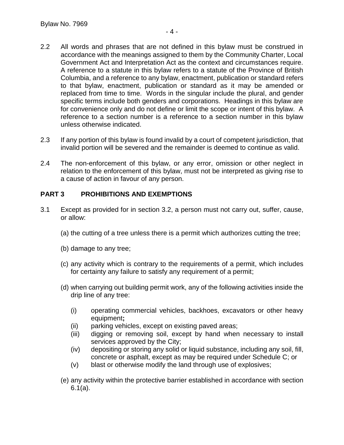- 2.2 All words and phrases that are not defined in this bylaw must be construed in accordance with the meanings assigned to them by the Community Charter, Local Government Act and Interpretation Act as the context and circumstances require. A reference to a statute in this bylaw refers to a statute of the Province of British Columbia, and a reference to any bylaw, enactment, publication or standard refers to that bylaw, enactment, publication or standard as it may be amended or replaced from time to time. Words in the singular include the plural, and gender specific terms include both genders and corporations. Headings in this bylaw are for convenience only and do not define or limit the scope or intent of this bylaw. A reference to a section number is a reference to a section number in this bylaw unless otherwise indicated.
- 2.3 If any portion of this bylaw is found invalid by a court of competent jurisdiction, that invalid portion will be severed and the remainder is deemed to continue as valid.
- 2.4 The non-enforcement of this bylaw, or any error, omission or other neglect in relation to the enforcement of this bylaw, must not be interpreted as giving rise to a cause of action in favour of any person.

## **PART 3 PROHIBITIONS AND EXEMPTIONS**

- 3.1 Except as provided for in section 3.2, a person must not carry out, suffer, cause, or allow:
	- (a) the cutting of a tree unless there is a permit which authorizes cutting the tree;
	- (b) damage to any tree;
	- (c) any activity which is contrary to the requirements of a permit, which includes for certainty any failure to satisfy any requirement of a permit;
	- (d) when carrying out building permit work, any of the following activities inside the drip line of any tree:
		- (i) operating commercial vehicles, backhoes, excavators or other heavy equipment**;**
		- (ii) parking vehicles, except on existing paved areas;
		- (iii) digging or removing soil, except by hand when necessary to install services approved by the City;
		- (iv) depositing or storing any solid or liquid substance, including any soil, fill, concrete or asphalt, except as may be required under Schedule C; or
		- (v) blast or otherwise modify the land through use of explosives;
	- (e) any activity within the protective barrier established in accordance with section 6.1(a).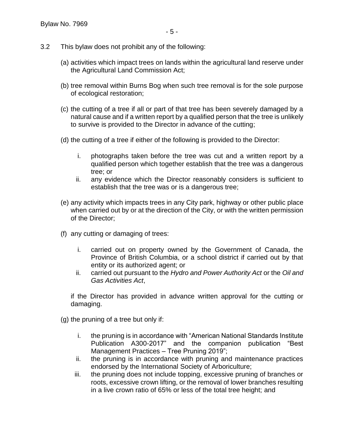- 3.2 This bylaw does not prohibit any of the following:
	- (a) activities which impact trees on lands within the agricultural land reserve under the Agricultural Land Commission Act;
	- (b) tree removal within Burns Bog when such tree removal is for the sole purpose of ecological restoration;
	- (c) the cutting of a tree if all or part of that tree has been severely damaged by a natural cause and if a written report by a qualified person that the tree is unlikely to survive is provided to the Director in advance of the cutting;
	- (d) the cutting of a tree if either of the following is provided to the Director:
		- i. photographs taken before the tree was cut and a written report by a qualified person which together establish that the tree was a dangerous tree; or
		- ii. any evidence which the Director reasonably considers is sufficient to establish that the tree was or is a dangerous tree;
	- (e) any activity which impacts trees in any City park, highway or other public place when carried out by or at the direction of the City, or with the written permission of the Director;
	- (f) any cutting or damaging of trees:
		- i. carried out on property owned by the Government of Canada, the Province of British Columbia, or a school district if carried out by that entity or its authorized agent; or
		- ii. carried out pursuant to the *Hydro and Power Authority Act* or the *Oil and Gas Activities Act*,

if the Director has provided in advance written approval for the cutting or damaging.

(g) the pruning of a tree but only if:

- i. the pruning is in accordance with "American National Standards Institute Publication A300-2017" and the companion publication "Best Management Practices – Tree Pruning 2019";
- ii. the pruning is in accordance with pruning and maintenance practices endorsed by the International Society of Arboriculture;
- iii. the pruning does not include topping, excessive pruning of branches or roots, excessive crown lifting, or the removal of lower branches resulting in a live crown ratio of 65% or less of the total tree height; and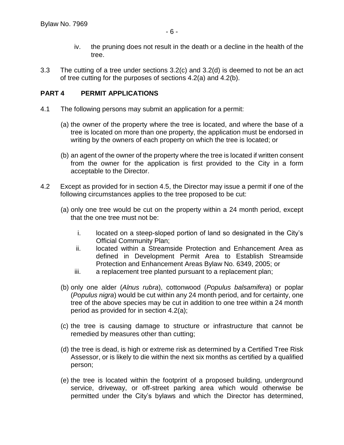- iv. the pruning does not result in the death or a decline in the health of the tree.
- 3.3 The cutting of a tree under sections 3.2(c) and 3.2(d) is deemed to not be an act of tree cutting for the purposes of sections 4.2(a) and 4.2(b).

## **PART 4 PERMIT APPLICATIONS**

- 4.1 The following persons may submit an application for a permit:
	- (a) the owner of the property where the tree is located, and where the base of a tree is located on more than one property, the application must be endorsed in writing by the owners of each property on which the tree is located; or
	- (b) an agent of the owner of the property where the tree is located if written consent from the owner for the application is first provided to the City in a form acceptable to the Director.
- 4.2 Except as provided for in section 4.5, the Director may issue a permit if one of the following circumstances applies to the tree proposed to be cut:
	- (a) only one tree would be cut on the property within a 24 month period, except that the one tree must not be:
		- i. located on a steep-sloped portion of land so designated in the City's Official Community Plan;
		- ii. located within a Streamside Protection and Enhancement Area as defined in Development Permit Area to Establish Streamside Protection and Enhancement Areas Bylaw No. 6349, 2005; or
		- iii. a replacement tree planted pursuant to a replacement plan;
	- (b) only one alder (*Alnus rubra*), cottonwood (*Populus balsamifera*) or poplar (*Populus nigra*) would be cut within any 24 month period, and for certainty, one tree of the above species may be cut in addition to one tree within a 24 month period as provided for in section 4.2(a);
	- (c) the tree is causing damage to structure or infrastructure that cannot be remedied by measures other than cutting;
	- (d) the tree is dead, is high or extreme risk as determined by a Certified Tree Risk Assessor, or is likely to die within the next six months as certified by a qualified person;
	- (e) the tree is located within the footprint of a proposed building, underground service, driveway, or off-street parking area which would otherwise be permitted under the City's bylaws and which the Director has determined,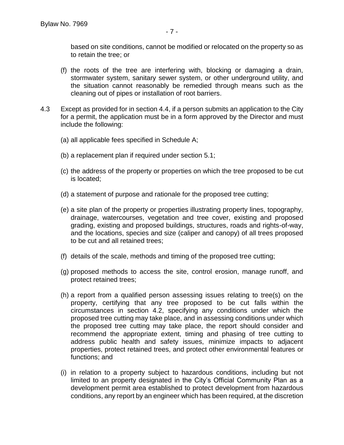based on site conditions, cannot be modified or relocated on the property so as to retain the tree; or

- (f) the roots of the tree are interfering with, blocking or damaging a drain, stormwater system, sanitary sewer system, or other underground utility, and the situation cannot reasonably be remedied through means such as the cleaning out of pipes or installation of root barriers.
- 4.3 Except as provided for in section 4.4, if a person submits an application to the City for a permit, the application must be in a form approved by the Director and must include the following:
	- (a) all applicable fees specified in Schedule A;
	- (b) a replacement plan if required under section 5.1;
	- (c) the address of the property or properties on which the tree proposed to be cut is located;
	- (d) a statement of purpose and rationale for the proposed tree cutting;
	- (e) a site plan of the property or properties illustrating property lines, topography, drainage, watercourses, vegetation and tree cover, existing and proposed grading, existing and proposed buildings, structures, roads and rights-of-way, and the locations, species and size (caliper and canopy) of all trees proposed to be cut and all retained trees;
	- (f) details of the scale, methods and timing of the proposed tree cutting;
	- (g) proposed methods to access the site, control erosion, manage runoff, and protect retained trees;
	- (h) a report from a qualified person assessing issues relating to tree(s) on the property, certifying that any tree proposed to be cut falls within the circumstances in section 4.2, specifying any conditions under which the proposed tree cutting may take place, and in assessing conditions under which the proposed tree cutting may take place, the report should consider and recommend the appropriate extent, timing and phasing of tree cutting to address public health and safety issues, minimize impacts to adjacent properties, protect retained trees, and protect other environmental features or functions; and
	- (i) in relation to a property subject to hazardous conditions, including but not limited to an property designated in the City's Official Community Plan as a development permit area established to protect development from hazardous conditions, any report by an engineer which has been required, at the discretion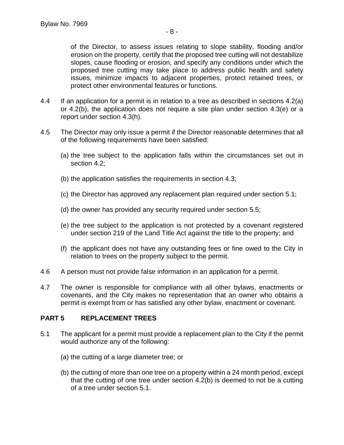of the Director, to assess issues relating to slope stability, flooding and/or erosion on the property, certify that the proposed tree cutting will not destabilize slopes, cause flooding or erosion, and specify any conditions under which the proposed tree cutting may take place to address public health and safety issues, minimize impacts to adjacent properties, protect retained trees, or protect other environmental features or functions.

- 4.4 If an application for a permit is in relation to a tree as described in sections 4.2(a) or 4.2(b), the application does not require a site plan under section 4.3(e) or a report under section 4.3(h).
- 4.5 The Director may only issue a permit if the Director reasonable determines that all of the following requirements have been satisfied:
	- (a) the tree subject to the application falls within the circumstances set out in section 4.2;
	- (b) the application satisfies the requirements in section 4.3;
	- (c) the Director has approved any replacement plan required under section 5.1;
	- (d) the owner has provided any security required under section 5.5;
	- (e) the tree subject to the application is not protected by a covenant registered under section 219 of the Land Title Act against the title to the property; and
	- (f) the applicant does not have any outstanding fees or fine owed to the City in relation to trees on the property subject to the permit.
- 4.6 A person must not provide false information in an application for a permit.
- 4.7 The owner is responsible for compliance with all other bylaws, enactments or covenants, and the City makes no representation that an owner who obtains a permit is exempt from or has satisfied any other bylaw, enactment or covenant.

# **PART 5 REPLACEMENT TREES**

- 5.1 The applicant for a permit must provide a replacement plan to the City if the permit would authorize any of the following:
	- (a) the cutting of a large diameter tree; or
	- (b) the cutting of more than one tree on a property within a 24 month period, except that the cutting of one tree under section 4.2(b) is deemed to not be a cutting of a tree under section 5.1.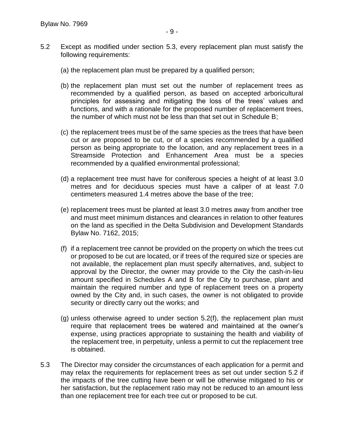- 5.2 Except as modified under section 5.3, every replacement plan must satisfy the following requirements:
	- (a) the replacement plan must be prepared by a qualified person;
	- (b) the replacement plan must set out the number of replacement trees as recommended by a qualified person, as based on accepted arboricultural principles for assessing and mitigating the loss of the trees' values and functions, and with a rationale for the proposed number of replacement trees, the number of which must not be less than that set out in Schedule B;
	- (c) the replacement trees must be of the same species as the trees that have been cut or are proposed to be cut, or of a species recommended by a qualified person as being appropriate to the location, and any replacement trees in a Streamside Protection and Enhancement Area must be a species recommended by a qualified environmental professional;
	- (d) a replacement tree must have for coniferous species a height of at least 3.0 metres and for deciduous species must have a caliper of at least 7.0 centimeters measured 1.4 metres above the base of the tree;
	- (e) replacement trees must be planted at least 3.0 metres away from another tree and must meet minimum distances and clearances in relation to other features on the land as specified in the Delta Subdivision and Development Standards Bylaw No. 7162, 2015;
	- (f) if a replacement tree cannot be provided on the property on which the trees cut or proposed to be cut are located, or if trees of the required size or species are not available, the replacement plan must specify alternatives, and, subject to approval by the Director, the owner may provide to the City the cash-in-lieu amount specified in Schedules A and B for the City to purchase, plant and maintain the required number and type of replacement trees on a property owned by the City and, in such cases, the owner is not obligated to provide security or directly carry out the works; and
	- (g) unless otherwise agreed to under section 5.2(f), the replacement plan must require that replacement trees be watered and maintained at the owner's expense, using practices appropriate to sustaining the health and viability of the replacement tree, in perpetuity, unless a permit to cut the replacement tree is obtained.
- 5.3 The Director may consider the circumstances of each application for a permit and may relax the requirements for replacement trees as set out under section 5.2 if the impacts of the tree cutting have been or will be otherwise mitigated to his or her satisfaction, but the replacement ratio may not be reduced to an amount less than one replacement tree for each tree cut or proposed to be cut.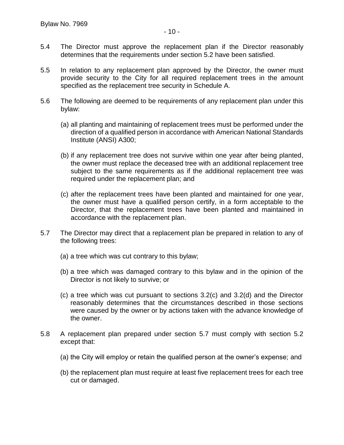- 5.4 The Director must approve the replacement plan if the Director reasonably determines that the requirements under section 5.2 have been satisfied.
- 5.5 In relation to any replacement plan approved by the Director, the owner must provide security to the City for all required replacement trees in the amount specified as the replacement tree security in Schedule A.
- 5.6 The following are deemed to be requirements of any replacement plan under this bylaw:
	- (a) all planting and maintaining of replacement trees must be performed under the direction of a qualified person in accordance with American National Standards Institute (ANSI) A300;
	- (b) if any replacement tree does not survive within one year after being planted, the owner must replace the deceased tree with an additional replacement tree subject to the same requirements as if the additional replacement tree was required under the replacement plan; and
	- (c) after the replacement trees have been planted and maintained for one year, the owner must have a qualified person certify, in a form acceptable to the Director, that the replacement trees have been planted and maintained in accordance with the replacement plan.
- 5.7 The Director may direct that a replacement plan be prepared in relation to any of the following trees:
	- (a) a tree which was cut contrary to this bylaw;
	- (b) a tree which was damaged contrary to this bylaw and in the opinion of the Director is not likely to survive; or
	- (c) a tree which was cut pursuant to sections 3.2(c) and 3.2(d) and the Director reasonably determines that the circumstances described in those sections were caused by the owner or by actions taken with the advance knowledge of the owner.
- 5.8 A replacement plan prepared under section 5.7 must comply with section 5.2 except that:
	- (a) the City will employ or retain the qualified person at the owner's expense; and
	- (b) the replacement plan must require at least five replacement trees for each tree cut or damaged.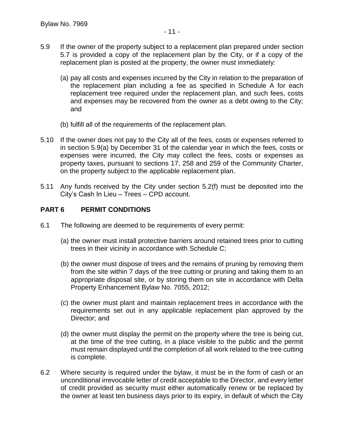- 5.9 If the owner of the property subject to a replacement plan prepared under section 5.7 is provided a copy of the replacement plan by the City, or if a copy of the replacement plan is posted at the property, the owner must immediately:
	- (a) pay all costs and expenses incurred by the City in relation to the preparation of the replacement plan including a fee as specified in Schedule A for each replacement tree required under the replacement plan, and such fees, costs and expenses may be recovered from the owner as a debt owing to the City; and
	- (b) fulfill all of the requirements of the replacement plan.
- 5.10 If the owner does not pay to the City all of the fees, costs or expenses referred to in section 5.9(a) by December 31 of the calendar year in which the fees, costs or expenses were incurred, the City may collect the fees, costs or expenses as property taxes, pursuant to sections 17, 258 and 259 of the Community Charter, on the property subject to the applicable replacement plan.
- 5.11 Any funds received by the City under section 5.2(f) must be deposited into the City's Cash In Lieu – Trees – CPD account.

## **PART 6 PERMIT CONDITIONS**

- 6.1 The following are deemed to be requirements of every permit:
	- (a) the owner must install protective barriers around retained trees prior to cutting trees in their vicinity in accordance with Schedule C;
	- (b) the owner must dispose of trees and the remains of pruning by removing them from the site within 7 days of the tree cutting or pruning and taking them to an appropriate disposal site, or by storing them on site in accordance with Delta Property Enhancement Bylaw No. 7055, 2012;
	- (c) the owner must plant and maintain replacement trees in accordance with the requirements set out in any applicable replacement plan approved by the Director; and
	- (d) the owner must display the permit on the property where the tree is being cut, at the time of the tree cutting, in a place visible to the public and the permit must remain displayed until the completion of all work related to the tree cutting is complete.
- 6.2 Where security is required under the bylaw, it must be in the form of cash or an unconditional irrevocable letter of credit acceptable to the Director, and every letter of credit provided as security must either automatically renew or be replaced by the owner at least ten business days prior to its expiry, in default of which the City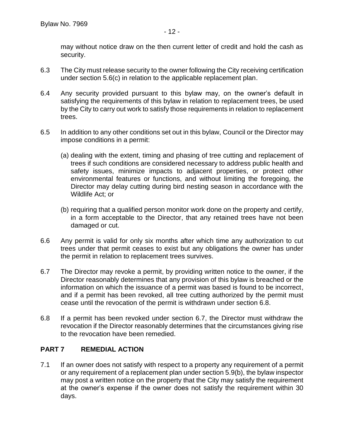may without notice draw on the then current letter of credit and hold the cash as security.

- 6.3 The City must release security to the owner following the City receiving certification under section 5.6(c) in relation to the applicable replacement plan.
- 6.4 Any security provided pursuant to this bylaw may, on the owner's default in satisfying the requirements of this bylaw in relation to replacement trees, be used by the City to carry out work to satisfy those requirements in relation to replacement trees.
- 6.5 In addition to any other conditions set out in this bylaw, Council or the Director may impose conditions in a permit:
	- (a) dealing with the extent, timing and phasing of tree cutting and replacement of trees if such conditions are considered necessary to address public health and safety issues, minimize impacts to adjacent properties, or protect other environmental features or functions, and without limiting the foregoing, the Director may delay cutting during bird nesting season in accordance with the Wildlife Act; or
	- (b) requiring that a qualified person monitor work done on the property and certify, in a form acceptable to the Director, that any retained trees have not been damaged or cut.
- 6.6 Any permit is valid for only six months after which time any authorization to cut trees under that permit ceases to exist but any obligations the owner has under the permit in relation to replacement trees survives.
- 6.7 The Director may revoke a permit, by providing written notice to the owner, if the Director reasonably determines that any provision of this bylaw is breached or the information on which the issuance of a permit was based is found to be incorrect, and if a permit has been revoked, all tree cutting authorized by the permit must cease until the revocation of the permit is withdrawn under section 6.8.
- 6.8 If a permit has been revoked under section 6.7, the Director must withdraw the revocation if the Director reasonably determines that the circumstances giving rise to the revocation have been remedied.

## **PART 7 REMEDIAL ACTION**

7.1 If an owner does not satisfy with respect to a property any requirement of a permit or any requirement of a replacement plan under section 5.9(b), the bylaw inspector may post a written notice on the property that the City may satisfy the requirement at the owner's expense if the owner does not satisfy the requirement within 30 days.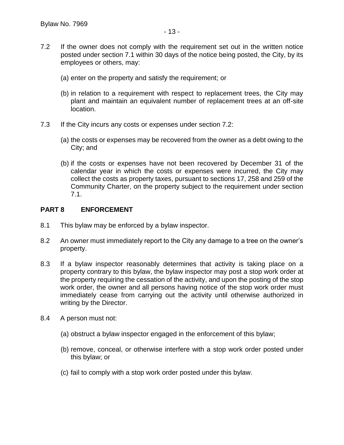- 7.2 If the owner does not comply with the requirement set out in the written notice posted under section 7.1 within 30 days of the notice being posted, the City, by its employees or others, may:
	- (a) enter on the property and satisfy the requirement; or
	- (b) in relation to a requirement with respect to replacement trees, the City may plant and maintain an equivalent number of replacement trees at an off-site location.
- 7.3 If the City incurs any costs or expenses under section 7.2:
	- (a) the costs or expenses may be recovered from the owner as a debt owing to the City; and
	- (b) if the costs or expenses have not been recovered by December 31 of the calendar year in which the costs or expenses were incurred, the City may collect the costs as property taxes, pursuant to sections 17, 258 and 259 of the Community Charter, on the property subject to the requirement under section 7.1.

## **PART 8 ENFORCEMENT**

- 8.1 This bylaw may be enforced by a bylaw inspector.
- 8.2 An owner must immediately report to the City any damage to a tree on the owner's property.
- 8.3 If a bylaw inspector reasonably determines that activity is taking place on a property contrary to this bylaw, the bylaw inspector may post a stop work order at the property requiring the cessation of the activity, and upon the posting of the stop work order, the owner and all persons having notice of the stop work order must immediately cease from carrying out the activity until otherwise authorized in writing by the Director.
- 8.4 A person must not:
	- (a) obstruct a bylaw inspector engaged in the enforcement of this bylaw;
	- (b) remove, conceal, or otherwise interfere with a stop work order posted under this bylaw; or
	- (c) fail to comply with a stop work order posted under this bylaw.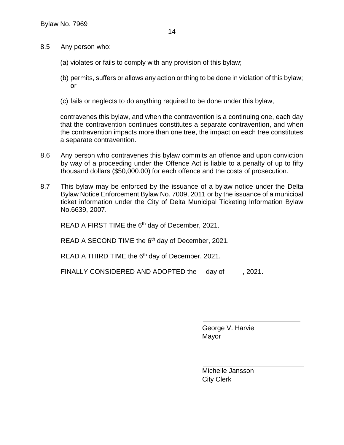- 8.5 Any person who:
	- (a) violates or fails to comply with any provision of this bylaw;
	- (b) permits, suffers or allows any action or thing to be done in violation of this bylaw; or
	- (c) fails or neglects to do anything required to be done under this bylaw,

contravenes this bylaw, and when the contravention is a continuing one, each day that the contravention continues constitutes a separate contravention, and when the contravention impacts more than one tree, the impact on each tree constitutes a separate contravention.

- 8.6 Any person who contravenes this bylaw commits an offence and upon conviction by way of a proceeding under the Offence Act is liable to a penalty of up to fifty thousand dollars (\$50,000.00) for each offence and the costs of prosecution.
- 8.7 This bylaw may be enforced by the issuance of a bylaw notice under the Delta Bylaw Notice Enforcement Bylaw No. 7009, 2011 or by the issuance of a municipal ticket information under the City of Delta Municipal Ticketing Information Bylaw No.6639, 2007.

READ A FIRST TIME the 6<sup>th</sup> day of December, 2021.

READ A SECOND TIME the 6<sup>th</sup> day of December, 2021.

READ A THIRD TIME the 6<sup>th</sup> day of December, 2021.

FINALLY CONSIDERED AND ADOPTED the day of , 2021.

George V. Harvie Mayor

 $\overline{a}$ 

Michelle Jansson City Clerk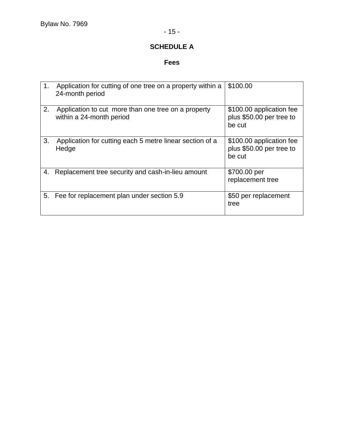# **SCHEDULE A**

# **Fees**

| 1. | Application for cutting of one tree on a property within a<br>24-month period   | \$100.00                                                       |
|----|---------------------------------------------------------------------------------|----------------------------------------------------------------|
| 2. | Application to cut more than one tree on a property<br>within a 24-month period | \$100.00 application fee<br>plus \$50.00 per tree to<br>be cut |
| 3. | Application for cutting each 5 metre linear section of a<br>Hedge               | \$100.00 application fee<br>plus \$50.00 per tree to<br>be cut |
| 4. | Replacement tree security and cash-in-lieu amount                               | \$700.00 per<br>replacement tree                               |
| 5. | Fee for replacement plan under section 5.9                                      | \$50 per replacement<br>tree                                   |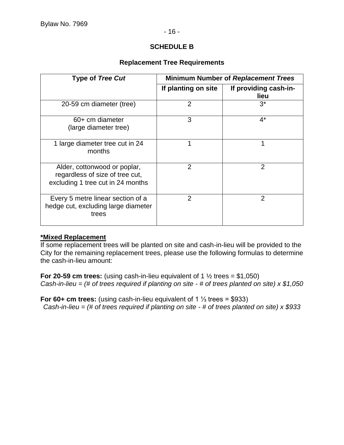## **SCHEDULE B**

## **Replacement Tree Requirements**

| <b>Type of Tree Cut</b>                                                                              | <b>Minimum Number of Replacement Trees</b> |                               |
|------------------------------------------------------------------------------------------------------|--------------------------------------------|-------------------------------|
|                                                                                                      | If planting on site                        | If providing cash-in-<br>lieu |
| 20-59 cm diameter (tree)                                                                             | $\overline{2}$                             | $3^*$                         |
| 60+ cm diameter<br>(large diameter tree)                                                             | 3                                          | $4^*$                         |
| 1 large diameter tree cut in 24<br>months                                                            | 1                                          |                               |
| Alder, cottonwood or poplar,<br>regardless of size of tree cut,<br>excluding 1 tree cut in 24 months | 2                                          | 2                             |
| Every 5 metre linear section of a<br>hedge cut, excluding large diameter<br>trees                    | 2                                          | 2                             |

#### **\*Mixed Replacement**

If some replacement trees will be planted on site and cash-in-lieu will be provided to the City for the remaining replacement trees, please use the following formulas to determine the cash-in-lieu amount:

**For 20-59 cm trees:** (using cash-in-lieu equivalent of 1  $\frac{1}{2}$  trees = \$1,050) *Cash-in-lieu = (# of trees required if planting on site - # of trees planted on site) x \$1,050*

**For 60+ cm trees:** (using cash-in-lieu equivalent of 1 ⅓ trees = \$933) *Cash-in-lieu = (# of trees required if planting on site - # of trees planted on site) x \$933*